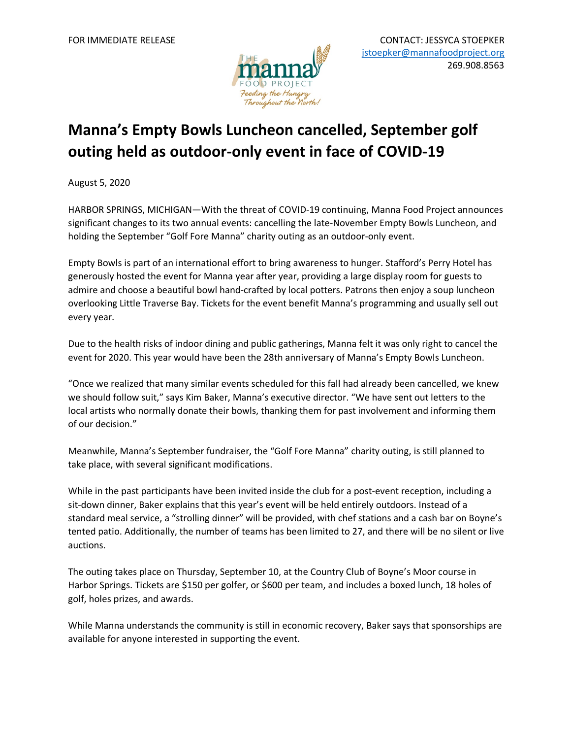

## **Manna's Empty Bowls Luncheon cancelled, September golf outing held as outdoor-only event in face of COVID-19**

August 5, 2020

HARBOR SPRINGS, MICHIGAN—With the threat of COVID-19 continuing, Manna Food Project announces significant changes to its two annual events: cancelling the late-November Empty Bowls Luncheon, and holding the September "Golf Fore Manna" charity outing as an outdoor-only event.

Empty Bowls is part of an international effort to bring awareness to hunger. Stafford's Perry Hotel has generously hosted the event for Manna year after year, providing a large display room for guests to admire and choose a beautiful bowl hand-crafted by local potters. Patrons then enjoy a soup luncheon overlooking Little Traverse Bay. Tickets for the event benefit Manna's programming and usually sell out every year.

Due to the health risks of indoor dining and public gatherings, Manna felt it was only right to cancel the event for 2020. This year would have been the 28th anniversary of Manna's Empty Bowls Luncheon.

"Once we realized that many similar events scheduled for this fall had already been cancelled, we knew we should follow suit," says Kim Baker, Manna's executive director. "We have sent out letters to the local artists who normally donate their bowls, thanking them for past involvement and informing them of our decision."

Meanwhile, Manna's September fundraiser, the "Golf Fore Manna" charity outing, is still planned to take place, with several significant modifications.

While in the past participants have been invited inside the club for a post-event reception, including a sit-down dinner, Baker explains that this year's event will be held entirely outdoors. Instead of a standard meal service, a "strolling dinner" will be provided, with chef stations and a cash bar on Boyne's tented patio. Additionally, the number of teams has been limited to 27, and there will be no silent or live auctions.

The outing takes place on Thursday, September 10, at the Country Club of Boyne's Moor course in Harbor Springs. Tickets are \$150 per golfer, or \$600 per team, and includes a boxed lunch, 18 holes of golf, holes prizes, and awards.

While Manna understands the community is still in economic recovery, Baker says that sponsorships are available for anyone interested in supporting the event.